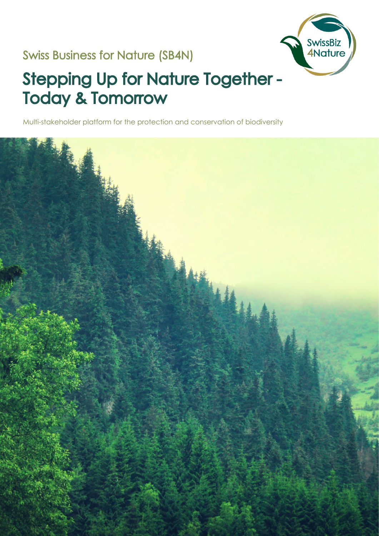### Swiss Business for Nature (SB4N)



# Stepping Up for Nature Together - Today & Tomorrow

Multi-stakeholder platform for the protection and conservation of biodiversity

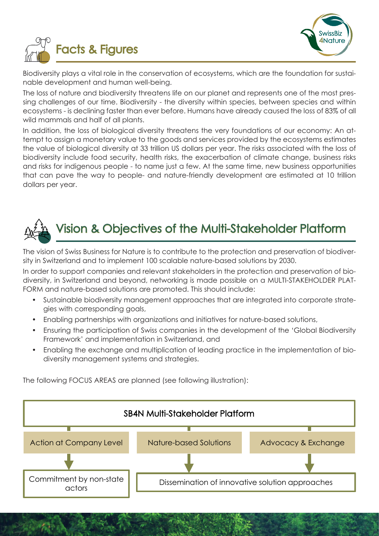



Biodiversity plays a vital role in the conservation of ecosystems, which are the foundation for sustainable development and human well-being.

The loss of nature and biodiversity threatens life on our planet and represents one of the most pressing challenges of our time. Biodiversity - the diversity within species, between species and within ecosystems - is declining faster than ever before. Humans have already caused the loss of 83% of all wild mammals and half of all plants.

In addition, the loss of biological diversity threatens the very foundations of our economy: An attempt to assign a monetary value to the goods and services provided by the ecosystems estimates the value of biological diversity at 33 trillion US dollars per year. The risks associated with the loss of biodiversity include food security, health risks, the exacerbation of climate change, business risks and risks for indigenous people - to name just a few. At the same time, new business opportunities that can pave the way to people- and nature-friendly development are estimated at 10 trillion dollars per year.



## Vision & Objectives of the Multi-Stakeholder Platform

The vision of Swiss Business for Nature is to contribute to the protection and preservation of biodiversity in Switzerland and to implement 100 scalable nature-based solutions by 2030.

In order to support companies and relevant stakeholders in the protection and preservation of biodiversity, in Switzerland and beyond, networking is made possible on a MULTI-STAKEHOLDER PLAT-FORM and nature-based solutions are promoted. This should include:

- Sustainable biodiversity management approaches that are integrated into corporate strategies with corresponding goals,
- Enabling partnerships with organizations and initiatives for nature-based solutions,
- Ensuring the participation of Swiss companies in the development of the 'Global Biodiversity Framework' and implementation in Switzerland, and
- Enabling the exchange and multiplication of leading practice in the implementation of biodiversity management systems and strategies.

The following FOCUS AREAS are planned (see following illustration):

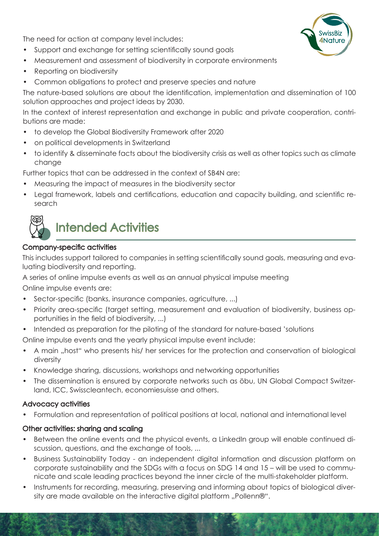The need for action at company level includes:

- Support and exchange for setting scientifically sound goals
- Measurement and assessment of biodiversity in corporate environments
- Reporting on biodiversity
- Common obligations to protect and preserve species and nature

The nature-based solutions are about the identification, implementation and dissemination of 100 solution approaches and project ideas by 2030.

In the context of interest representation and exchange in public and private cooperation, contributions are made:

- to develop the Global Biodiversity Framework after 2020
- on political developments in Switzerland
- to identify & disseminate facts about the biodiversity crisis as well as other topics such as climate change

Further topics that can be addressed in the context of SB4N are:

- Measuring the impact of measures in the biodiversity sector
- Legal framework, labels and certifications, education and capacity building, and scientific research



### Intended Activities

#### Company-specific activities

This includes support tailored to companies in setting scientifically sound goals, measuring and evaluating biodiversity and reporting.

A series of online impulse events as well as an annual physical impulse meeting

Online impulse events are:

- Sector-specific (banks, insurance companies, agriculture, ...)
- Priority area-specific (target setting, measurement and evaluation of biodiversity, business opportunities in the field of biodiversity, ...)
- Intended as preparation for the piloting of the standard for nature-based 'solutions

Online impulse events and the yearly physical impulse event include:

- A main "host" who presents his/ her services for the protection and conservation of biological diversity
- Knowledge sharing, discussions, workshops and networking opportunities
- The dissemination is ensured by corporate networks such as öbu, UN Global Compact Switzerland, ICC, Swisscleantech, economiesuisse and others.

#### Advocacy activities

• Formulation and representation of political positions at local, national and international level

#### Other activities: sharing and scaling

- Between the online events and the physical events, a LinkedIn group will enable continued discussion, questions, and the exchange of tools, ...
- Business Sustainability Today an independent digital information and discussion platform on corporate sustainability and the SDGs with a focus on SDG 14 and 15 – will be used to communicate and scale leading practices beyond the inner circle of the multi-stakeholder platform.
- Instruments for recording, measuring, preserving and informing about topics of biological diversity are made available on the interactive digital platform "Pollenn®".